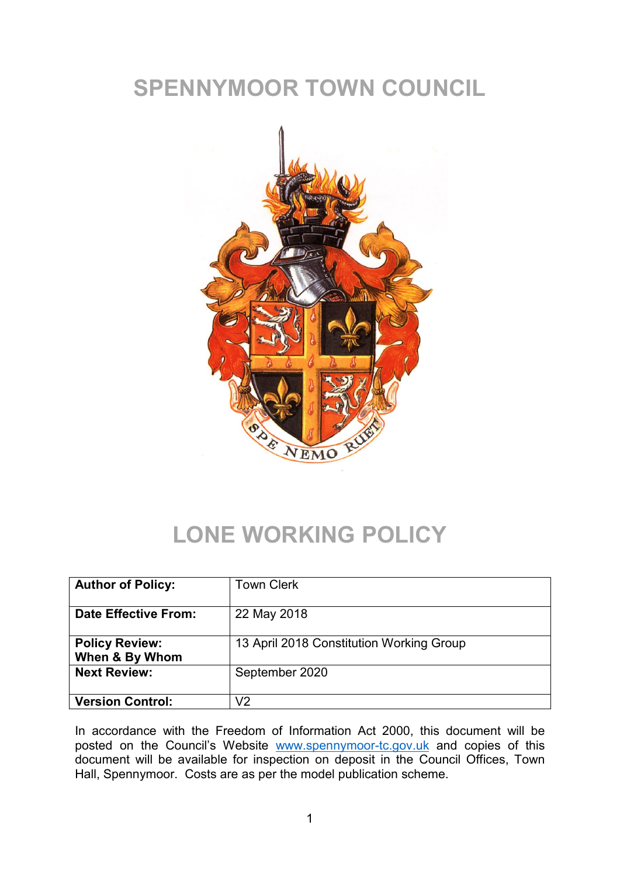## SPENNYMOOR TOWN COUNCIL



# LONE WORKING POLICY

| <b>Author of Policy:</b>                | <b>Town Clerk</b>                        |
|-----------------------------------------|------------------------------------------|
| <b>Date Effective From:</b>             | 22 May 2018                              |
| <b>Policy Review:</b><br>When & By Whom | 13 April 2018 Constitution Working Group |
| <b>Next Review:</b>                     | September 2020                           |
| <b>Version Control:</b>                 | √2                                       |

In accordance with the Freedom of Information Act 2000, this document will be posted on the Council's Website [www.spennymoor-tc.gov.uk](http://www.spennymoor-tc.gov.uk/) and copies of this document will be available for inspection on deposit in the Council Offices, Town Hall, Spennymoor. Costs are as per the model publication scheme.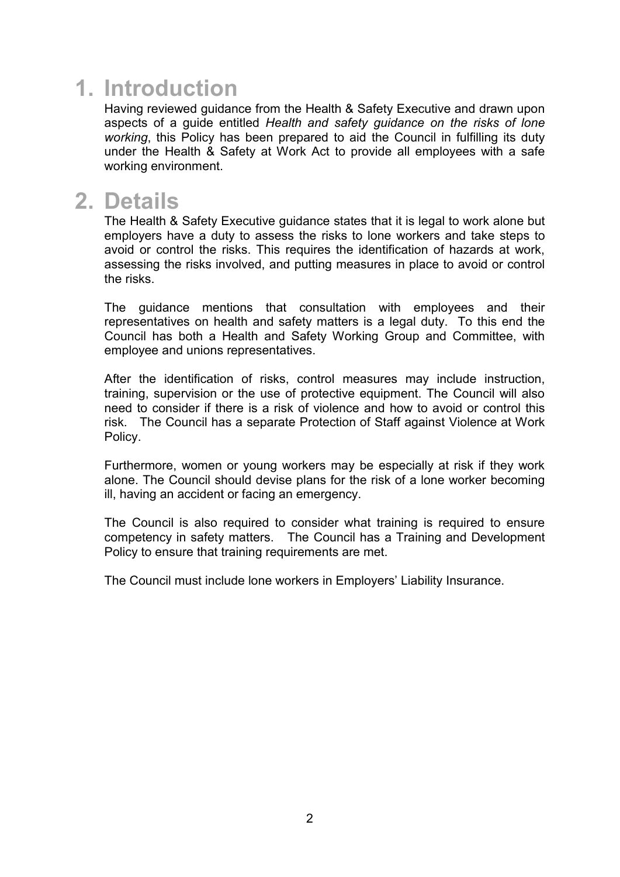#### 1. Introduction

Having reviewed guidance from the Health & Safety Executive and drawn upon aspects of a guide entitled *Health and safety guidance on the risks of lone working*, this Policy has been prepared to aid the Council in fulfilling its duty under the Health & Safety at Work Act to provide all employees with a safe working environment.

#### 2. Details

The Health & Safety Executive guidance states that it is legal to work alone but employers have a duty to assess the risks to lone workers and take steps to avoid or control the risks. This requires the identification of hazards at work, assessing the risks involved, and putting measures in place to avoid or control the risks.

The guidance mentions that consultation with employees and their representatives on health and safety matters is a legal duty. To this end the Council has both a Health and Safety Working Group and Committee, with employee and unions representatives.

After the identification of risks, control measures may include instruction, training, supervision or the use of protective equipment. The Council will also need to consider if there is a risk of violence and how to avoid or control this risk. The Council has a separate Protection of Staff against Violence at Work Policy.

Furthermore, women or young workers may be especially at risk if they work alone. The Council should devise plans for the risk of a lone worker becoming ill, having an accident or facing an emergency.

The Council is also required to consider what training is required to ensure competency in safety matters. The Council has a Training and Development Policy to ensure that training requirements are met.

The Council must include lone workers in Employers' Liability Insurance.